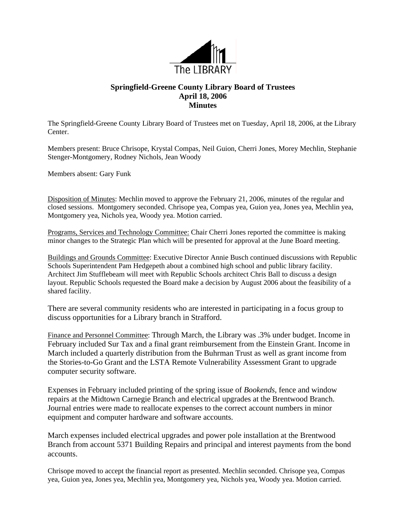

## **Springfield-Greene County Library Board of Trustees April 18, 2006 Minutes**

The Springfield-Greene County Library Board of Trustees met on Tuesday, April 18, 2006, at the Library Center.

Members present: Bruce Chrisope, Krystal Compas, Neil Guion, Cherri Jones, Morey Mechlin, Stephanie Stenger-Montgomery, Rodney Nichols, Jean Woody

Members absent: Gary Funk

Disposition of Minutes: Mechlin moved to approve the February 21, 2006, minutes of the regular and closed sessions. Montgomery seconded. Chrisope yea, Compas yea, Guion yea, Jones yea, Mechlin yea, Montgomery yea, Nichols yea, Woody yea. Motion carried.

Programs, Services and Technology Committee: Chair Cherri Jones reported the committee is making minor changes to the Strategic Plan which will be presented for approval at the June Board meeting.

Buildings and Grounds Committee: Executive Director Annie Busch continued discussions with Republic Schools Superintendent Pam Hedgepeth about a combined high school and public library facility. Architect Jim Stufflebeam will meet with Republic Schools architect Chris Ball to discuss a design layout. Republic Schools requested the Board make a decision by August 2006 about the feasibility of a shared facility.

There are several community residents who are interested in participating in a focus group to discuss opportunities for a Library branch in Strafford.

Finance and Personnel Committee: Through March, the Library was .3% under budget. Income in February included Sur Tax and a final grant reimbursement from the Einstein Grant. Income in March included a quarterly distribution from the Buhrman Trust as well as grant income from the Stories-to-Go Grant and the LSTA Remote Vulnerability Assessment Grant to upgrade computer security software.

Expenses in February included printing of the spring issue of *Bookends,* fence and window repairs at the Midtown Carnegie Branch and electrical upgrades at the Brentwood Branch. Journal entries were made to reallocate expenses to the correct account numbers in minor equipment and computer hardware and software accounts.

March expenses included electrical upgrades and power pole installation at the Brentwood Branch from account 5371 Building Repairs and principal and interest payments from the bond accounts.

Chrisope moved to accept the financial report as presented. Mechlin seconded. Chrisope yea, Compas yea, Guion yea, Jones yea, Mechlin yea, Montgomery yea, Nichols yea, Woody yea. Motion carried.